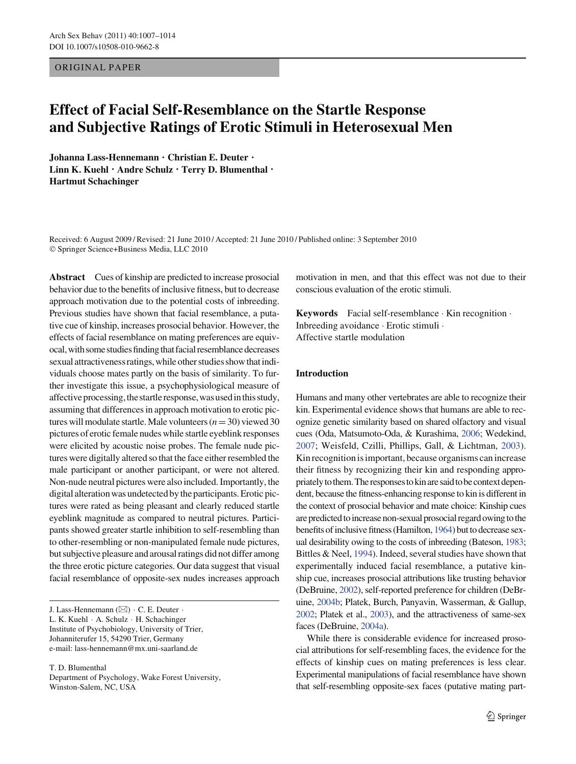ORIGINAL PAPER

# Effect of Facial Self-Resemblance on the Startle Response and Subjective Ratings of Erotic Stimuli in Heterosexual Men

Johanna Lass-Hennemann • Christian E. Deuter • Linn K. Kuehl • Andre Schulz • Terry D. Blumenthal • Hartmut Schachinger

Received: 6 August 2009 / Revised: 21 June 2010 / Accepted: 21 June 2010 / Published online: 3 September 2010 © Springer Science+Business Media, LLC 2010

Abstract Cues of kinship are predicted to increase prosocial behavior due to the benefits of inclusive fitness, but to decrease approach motivation due to the potential costs of inbreeding. Previous studies have shown that facial resemblance, a putative cue of kinship, increases prosocial behavior. However, the effects of facial resemblance on mating preferences are equivocal, with some studies finding that facial resemblance decreases sexual attractivenessratings, while other studiesshow that individuals choose mates partly on the basis of similarity. To further investigate this issue, a psychophysiological measure of affective processing, the startle response, was used in this study, assuming that differences in approach motivation to erotic pictures will modulate startle. Male volunteers ( $n=30$ ) viewed 30 pictures of erotic female nudes while startle eyeblink responses were elicited by acoustic noise probes. The female nude pictures were digitally altered so that the face either resembled the male participant or another participant, or were not altered. Non-nude neutral pictures were also included. Importantly, the digital alteration was undetected by the participants. Erotic pictures were rated as being pleasant and clearly reduced startle eyeblink magnitude as compared to neutral pictures. Participants showed greater startle inhibition to self-resembling than to other-resembling or non-manipulated female nude pictures, but subjective pleasure and arousal ratings did not differ among the three erotic picture categories. Our data suggest that visual facial resemblance of opposite-sex nudes increases approach

J. Lass-Hennemann  $(\boxtimes) \cdot C$ . E. Deuter  $\cdot$ L. K. Kuehl · A. Schulz · H. Schachinger Institute of Psychobiology, University of Trier, Johanniterufer 15, 54290 Trier, Germany e-mail: lass-hennemann@mx.uni-saarland.de

T. D. Blumenthal Department of Psychology, Wake Forest University, Winston-Salem, NC, USA

motivation in men, and that this effect was not due to their conscious evaluation of the erotic stimuli.

Keywords Facial self-resemblance - Kin recognition - Inbreeding avoidance - Erotic stimuli - Affective startle modulation

# Introduction

Humans and many other vertebrates are able to recognize their kin. Experimental evidence shows that humans are able to recognize genetic similarity based on shared olfactory and visual cues (Oda, Matsumoto-Oda, & Kurashima, [2006](#page-7-0); Wedekind, [2007](#page-7-0); Weisfeld, Czilli, Phillips, Gall, & Lichtman, [2003](#page-7-0)). Kin recognition is important, because organisms can increase their fitness by recognizing their kin and responding appropriately to them. The responses to kin are said to be context dependent, because the fitness-enhancing response to kin is different in the context of prosocial behavior and mate choice: Kinship cues are predicted to increase non-sexual prosocial regard owing to the benefits of inclusive fitness (Hamilton, [1964\)](#page-7-0) but to decrease sexual desirability owing to the costs of inbreeding (Bateson, [1983](#page-7-0); Bittles & Neel, [1994](#page-7-0)). Indeed, several studies have shown that experimentally induced facial resemblance, a putative kinship cue, increases prosocial attributions like trusting behavior (DeBruine, [2002](#page-7-0)), self-reported preference for children (DeBruine, [2004b;](#page-7-0) Platek, Burch, Panyavin, Wasserman, & Gallup, [2002](#page-7-0); Platek et al., [2003\)](#page-7-0), and the attractiveness of same-sex faces (DeBruine, [2004a](#page-7-0)).

While there is considerable evidence for increased prosocial attributions for self-resembling faces, the evidence for the effects of kinship cues on mating preferences is less clear. Experimental manipulations of facial resemblance have shown that self-resembling opposite-sex faces (putative mating part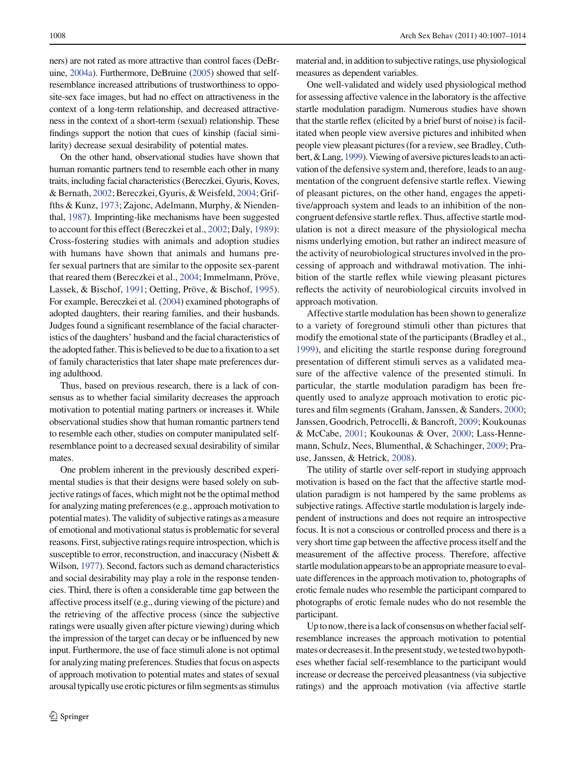ners) are not rated as more attractive than control faces (DeBruine, [2004a\)](#page-7-0). Furthermore, DeBruine [\(2005\)](#page-7-0) showed that selfresemblance increased attributions of trustworthiness to opposite-sex face images, but had no effect on attractiveness in the context of a long-term relationship, and decreased attractiveness in the context of a short-term (sexual) relationship. These findings support the notion that cues of kinship (facial similarity) decrease sexual desirability of potential mates.

On the other hand, observational studies have shown that human romantic partners tend to resemble each other in many traits, including facial characteristics (Bereczkei, Gyuris, Koves, & Bernath, [2002;](#page-7-0) Bereczkei, Gyuris, & Weisfeld, [2004;](#page-7-0) Griffths & Kunz, [1973](#page-7-0); Zajonc, Adelmann, Murphy, & Niendenthal, [1987\)](#page-7-0). Imprinting-like mechanisms have been suggested to account for this effect (Bereczkei et al., [2002](#page-7-0); Daly, [1989](#page-7-0)): Cross-fostering studies with animals and adoption studies with humans have shown that animals and humans prefer sexual partners that are similar to the opposite sex-parent that reared them (Bereczkei et al., [2004;](#page-7-0) Immelmann, Pröve, Lassek, & Bischof, [1991](#page-7-0); Oetting, Pröve, & Bischof, [1995](#page-7-0)). For example, Bereczkei et al. ([2004\)](#page-7-0) examined photographs of adopted daughters, their rearing families, and their husbands. Judges found a significant resemblance of the facial characteristics of the daughters' husband and the facial characteristics of the adopted father. This is believed to be due to a fixation to a set of family characteristics that later shape mate preferences during adulthood.

Thus, based on previous research, there is a lack of consensus as to whether facial similarity decreases the approach motivation to potential mating partners or increases it. While observational studies show that human romantic partners tend to resemble each other, studies on computer manipulated selfresemblance point to a decreased sexual desirability of similar mates.

One problem inherent in the previously described experimental studies is that their designs were based solely on subjective ratings of faces, which might not be the optimal method for analyzing mating preferences (e.g., approach motivation to potential mates). The validity of subjectiveratings as a measure of emotional and motivational status is problematic for several reasons. First, subjective ratings require introspection, which is susceptible to error, reconstruction, and inaccuracy (Nisbett & Wilson, [1977\)](#page-7-0). Second, factors such as demand characteristics and social desirability may play a role in the response tendencies. Third, there is often a considerable time gap between the affective process itself (e.g., during viewing of the picture) and the retrieving of the affective process (since the subjective ratings were usually given after picture viewing) during which the impression of the target can decay or be influenced by new input. Furthermore, the use of face stimuli alone is not optimal for analyzing mating preferences. Studies that focus on aspects of approach motivation to potential mates and states of sexual arousal typically use erotic pictures or film segments as stimulus

material and, in addition to subjective ratings, use physiological measures as dependent variables.

One well-validated and widely used physiological method for assessing affective valence in the laboratory is the affective startle modulation paradigm. Numerous studies have shown that the startle reflex (elicited by a brief burst of noise) is facilitated when people view aversive pictures and inhibited when people view pleasant pictures (for a review, see Bradley, Cuth-bert, & Lang, [1999](#page-7-0)). Viewing of aversive pictures leads to an activation of the defensive system and, therefore, leads to an augmentation of the congruent defensive startle reflex. Viewing of pleasant pictures, on the other hand, engages the appetitive/approach system and leads to an inhibition of the noncongruent defensive startle reflex. Thus, affective startle modulation is not a direct measure of the physiological mecha nisms underlying emotion, but rather an indirect measure of the activity of neurobiological structures involved in the processing of approach and withdrawal motivation. The inhibition of the startle reflex while viewing pleasant pictures reflects the activity of neurobiological circuits involved in approach motivation.

Affective startle modulation has been shown to generalize to a variety of foreground stimuli other than pictures that modify the emotional state of the participants (Bradley et al., [1999](#page-7-0)), and eliciting the startle response during foreground presentation of different stimuli serves as a validated measure of the affective valence of the presented stimuli. In particular, the startle modulation paradigm has been frequently used to analyze approach motivation to erotic pictures and film segments (Graham, Janssen, & Sanders, [2000](#page-7-0); Janssen, Goodrich, Petrocelli, & Bancroft, [2009](#page-7-0); Koukounas & McCabe, [2001](#page-7-0); Koukounas & Over, [2000](#page-7-0); Lass-Hennemann, Schulz, Nees, Blumenthal, & Schachinger, [2009;](#page-7-0) Prause, Janssen, & Hetrick, [2008](#page-7-0)).

The utility of startle over self-report in studying approach motivation is based on the fact that the affective startle modulation paradigm is not hampered by the same problems as subjective ratings. Affective startle modulation is largely independent of instructions and does not require an introspective focus. It is not a conscious or controlled process and there is a very short time gap between the affective process itself and the measurement of the affective process. Therefore, affective startle modulation appears to be an appropriate measure to evaluate differences in the approach motivation to, photographs of erotic female nudes who resemble the participant compared to photographs of erotic female nudes who do not resemble the participant.

Up to now, there is a lack of consensus on whether facial selfresemblance increases the approach motivation to potential mates or decreases it. In the present study, we tested two hypotheses whether facial self-resemblance to the participant would increase or decrease the perceived pleasantness (via subjective ratings) and the approach motivation (via affective startle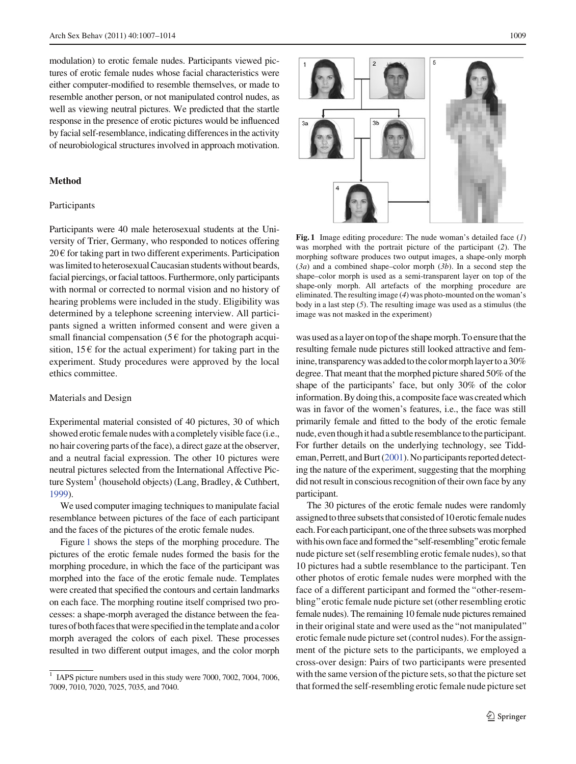modulation) to erotic female nudes. Participants viewed pictures of erotic female nudes whose facial characteristics were either computer-modified to resemble themselves, or made to resemble another person, or not manipulated control nudes, as well as viewing neutral pictures. We predicted that the startle response in the presence of erotic pictures would be influenced by facial self-resemblance, indicating differences in the activity of neurobiological structures involved in approach motivation.

## Method

## Participants

Participants were 40 male heterosexual students at the University of Trier, Germany, who responded to notices offering  $20 \epsilon$  for taking part in two different experiments. Participation was limited to heterosexual Caucasian students without beards, facial piercings, or facial tattoos. Furthermore, only participants with normal or corrected to normal vision and no history of hearing problems were included in the study. Eligibility was determined by a telephone screening interview. All participants signed a written informed consent and were given a small financial compensation (5 $\epsilon$  for the photograph acquisition, 15 $\epsilon$  for the actual experiment) for taking part in the experiment. Study procedures were approved by the local ethics committee.

#### Materials and Design

Experimental material consisted of 40 pictures, 30 of which showed erotic female nudes with a completely visible face (i.e., no hair covering parts of the face), a direct gaze at the observer, and a neutral facial expression. The other 10 pictures were neutral pictures selected from the International Affective Picture System<sup>1</sup> (household objects) (Lang, Bradley,  $\&$  Cuthbert, [1999](#page-7-0)).

We used computer imaging techniques to manipulate facial resemblance between pictures of the face of each participant and the faces of the pictures of the erotic female nudes.

Figure 1 shows the steps of the morphing procedure. The pictures of the erotic female nudes formed the basis for the morphing procedure, in which the face of the participant was morphed into the face of the erotic female nude. Templates were created that specified the contours and certain landmarks on each face. The morphing routine itself comprised two processes: a shape-morph averaged the distance between the features of both faces that were specified in the template and a color morph averaged the colors of each pixel. These processes resulted in two different output images, and the color morph



Fig. 1 Image editing procedure: The nude woman's detailed face (1) was morphed with the portrait picture of the participant (2). The morphing software produces two output images, a shape-only morph  $(3a)$  and a combined shape–color morph  $(3b)$ . In a second step the shape–color morph is used as a semi-transparent layer on top of the shape-only morph. All artefacts of the morphing procedure are eliminated. The resulting image (4) was photo-mounted on the woman's body in a last step (5). The resulting image was used as a stimulus (the image was not masked in the experiment)

was used as a layer on topof the shape morph.To ensure that the resulting female nude pictures still looked attractive and feminine, transparency was added to the color morph layer to a 30% degree. That meant that the morphed picture shared 50% of the shape of the participants' face, but only 30% of the color information. By doing this, a composite face was created which was in favor of the women's features, i.e., the face was still primarily female and fitted to the body of the erotic female nude, even though it had a subtle resemblance to the participant. For further details on the underlying technology, see Tidd-eman, Perrett, and Burt [\(2001](#page-7-0)). No participants reported detecting the nature of the experiment, suggesting that the morphing did not result in conscious recognition of their own face by any participant.

The 30 pictures of the erotic female nudes were randomly assigned to three subsets that consisted of 10 erotic female nudes each. For each participant, one of the three subsets was morphed with his own face and formed the''self-resembling''erotic female nude picture set (self resembling erotic female nudes), so that 10 pictures had a subtle resemblance to the participant. Ten other photos of erotic female nudes were morphed with the face of a different participant and formed the ''other-resembling''erotic female nude picture set (other resembling erotic female nudes). The remaining 10 female nude pictures remained in their original state and were used as the''not manipulated'' erotic female nude picture set (control nudes). For the assignment of the picture sets to the participants, we employed a cross-over design: Pairs of two participants were presented with the same version of the picture sets, so that the picture set that formed the self-resembling erotic female nude picture set

<sup>1</sup> IAPS picture numbers used in this study were 7000, 7002, 7004, 7006, 7009, 7010, 7020, 7025, 7035, and 7040.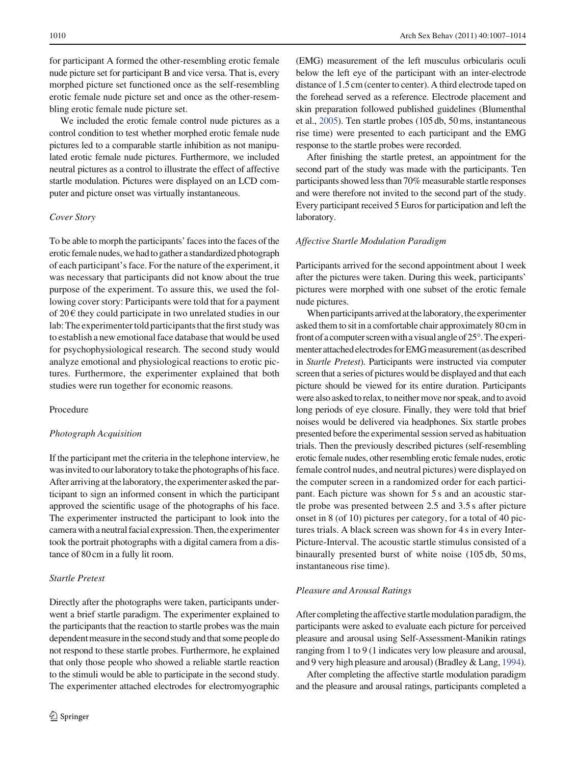for participant A formed the other-resembling erotic female nude picture set for participant B and vice versa. That is, every morphed picture set functioned once as the self-resembling erotic female nude picture set and once as the other-resembling erotic female nude picture set.

We included the erotic female control nude pictures as a control condition to test whether morphed erotic female nude pictures led to a comparable startle inhibition as not manipulated erotic female nude pictures. Furthermore, we included neutral pictures as a control to illustrate the effect of affective startle modulation. Pictures were displayed on an LCD computer and picture onset was virtually instantaneous.

## Cover Story

To be able to morph the participants' faces into the faces of the erotic female nudes, we had to gather a standardized photograph of each participant's face. For the nature of the experiment, it was necessary that participants did not know about the true purpose of the experiment. To assure this, we used the following cover story: Participants were told that for a payment of  $20 \in \text{they}$  could participate in two unrelated studies in our lab: The experimenter told participants that the first study was to establish a new emotional face database that would be used for psychophysiological research. The second study would analyze emotional and physiological reactions to erotic pictures. Furthermore, the experimenter explained that both studies were run together for economic reasons.

## Procedure

#### Photograph Acquisition

If the participant met the criteria in the telephone interview, he was invited to our laboratory to take the photographs of his face. After arriving at the laboratory, the experimenter asked the participant to sign an informed consent in which the participant approved the scientific usage of the photographs of his face. The experimenter instructed the participant to look into the camera with a neutral facial expression. Then, the experimenter took the portrait photographs with a digital camera from a distance of 80 cm in a fully lit room.

## Startle Pretest

Directly after the photographs were taken, participants underwent a brief startle paradigm. The experimenter explained to the participants that the reaction to startle probes was the main dependent measure in the second study and that some people do not respond to these startle probes. Furthermore, he explained that only those people who showed a reliable startle reaction to the stimuli would be able to participate in the second study. The experimenter attached electrodes for electromyographic (EMG) measurement of the left musculus orbicularis oculi below the left eye of the participant with an inter-electrode distance of 1.5 cm (center to center). A third electrode taped on the forehead served as a reference. Electrode placement and skin preparation followed published guidelines (Blumenthal et al., [2005](#page-7-0)). Ten startle probes (105 db, 50 ms, instantaneous rise time) were presented to each participant and the EMG response to the startle probes were recorded.

After finishing the startle pretest, an appointment for the second part of the study was made with the participants. Ten participants showed less than 70% measurable startle responses and were therefore not invited to the second part of the study. Every participant received 5 Euros for participation and left the laboratory.

# Affective Startle Modulation Paradigm

Participants arrived for the second appointment about 1 week after the pictures were taken. During this week, participants' pictures were morphed with one subset of the erotic female nude pictures.

When participants arrived at the laboratory, the experimenter asked them to sit in a comfortable chair approximately 80 cm in front of a computer screen with a visual angle of  $25^\circ$ . The experimenter attached electrodes for EMG measurement (as described in Startle Pretest). Participants were instructed via computer screen that a series of pictures would be displayed and that each picture should be viewed for its entire duration. Participants were also asked to relax, to neither move nor speak, and to avoid long periods of eye closure. Finally, they were told that brief noises would be delivered via headphones. Six startle probes presented before the experimental session served as habituation trials. Then the previously described pictures (self-resembling erotic female nudes, other resembling erotic female nudes, erotic female control nudes, and neutral pictures) were displayed on the computer screen in a randomized order for each participant. Each picture was shown for 5 s and an acoustic startle probe was presented between 2.5 and 3.5 s after picture onset in 8 (of 10) pictures per category, for a total of 40 pictures trials. A black screen was shown for 4 s in every Inter-Picture-Interval. The acoustic startle stimulus consisted of a binaurally presented burst of white noise (105 db, 50 ms, instantaneous rise time).

#### Pleasure and Arousal Ratings

After completing the affective startle modulation paradigm, the participants were asked to evaluate each picture for perceived pleasure and arousal using Self-Assessment-Manikin ratings ranging from 1 to 9 (1 indicates very low pleasure and arousal, and 9 very high pleasure and arousal) (Bradley & Lang, [1994\)](#page-7-0).

After completing the affective startle modulation paradigm and the pleasure and arousal ratings, participants completed a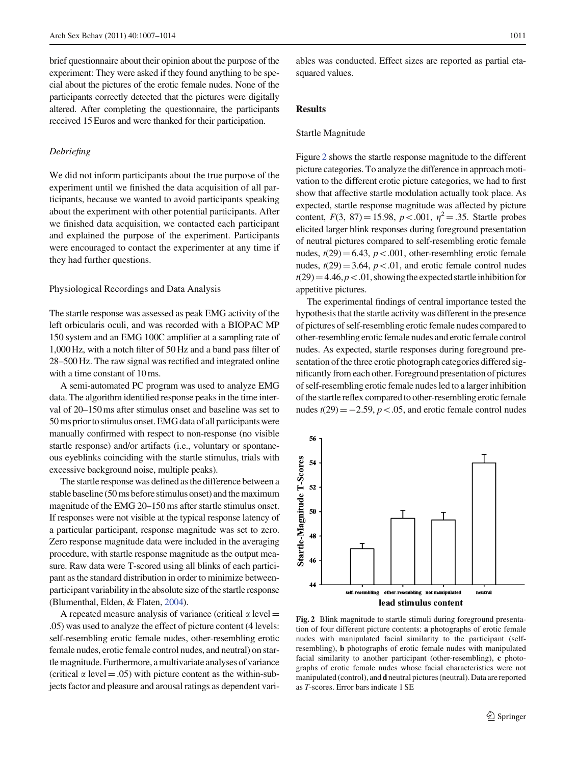brief questionnaire about their opinion about the purpose of the experiment: They were asked if they found anything to be special about the pictures of the erotic female nudes. None of the participants correctly detected that the pictures were digitally altered. After completing the questionnaire, the participants received 15 Euros and were thanked for their participation.

## Debriefing

We did not inform participants about the true purpose of the experiment until we finished the data acquisition of all participants, because we wanted to avoid participants speaking about the experiment with other potential participants. After we finished data acquisition, we contacted each participant and explained the purpose of the experiment. Participants were encouraged to contact the experimenter at any time if they had further questions.

#### Physiological Recordings and Data Analysis

The startle response was assessed as peak EMG activity of the left orbicularis oculi, and was recorded with a BIOPAC MP 150 system and an EMG 100C amplifier at a sampling rate of 1,000 Hz, with a notch filter of 50 Hz and a band pass filter of 28–500 Hz. The raw signal was rectified and integrated online with a time constant of 10 ms.

A semi-automated PC program was used to analyze EMG data. The algorithm identified response peaks in the time interval of 20–150 ms after stimulus onset and baseline was set to 50 ms prior to stimulusonset. EMG data of all participants were manually confirmed with respect to non-response (no visible startle response) and/or artifacts (i.e., voluntary or spontaneous eyeblinks coinciding with the startle stimulus, trials with excessive background noise, multiple peaks).

The startle response was defined as the difference between a stable baseline(50 ms before stimulus onset) and themaximum magnitude of the EMG 20–150 ms after startle stimulus onset. If responses were not visible at the typical response latency of a particular participant, response magnitude was set to zero. Zero response magnitude data were included in the averaging procedure, with startle response magnitude as the output measure. Raw data were T-scored using all blinks of each participant as the standard distribution in order to minimize betweenparticipant variability in the absolute size of the startle response (Blumenthal, Elden, & Flaten, [2004\)](#page-7-0).

A repeated measure analysis of variance (critical  $\alpha$  level = .05) was used to analyze the effect of picture content (4 levels: self-resembling erotic female nudes, other-resembling erotic female nudes, erotic female control nudes, and neutral) on startlemagnitude. Furthermore, amultivariate analyses of variance (critical  $\alpha$  level = .05) with picture content as the within-subjects factor and pleasure and arousal ratings as dependent vari-

ables was conducted. Effect sizes are reported as partial etasquared values.

## **Results**

## Startle Magnitude

Figure 2 shows the startle response magnitude to the different picture categories. To analyze the difference in approach motivation to the different erotic picture categories, we had to first show that affective startle modulation actually took place. As expected, startle response magnitude was affected by picture content,  $F(3, 87) = 15.98$ ,  $p < .001$ ,  $\eta^2 = .35$ . Startle probes elicited larger blink responses during foreground presentation of neutral pictures compared to self-resembling erotic female nudes,  $t(29) = 6.43$ ,  $p < .001$ , other-resembling erotic female nudes,  $t(29) = 3.64$ ,  $p < .01$ , and erotic female control nudes  $t(29)=4.46, p<.01$ , showing the expected startle inhibition for appetitive pictures.

The experimental findings of central importance tested the hypothesis that the startle activity was different in the presence of pictures of self-resembling erotic female nudes compared to other-resembling erotic female nudes and erotic female control nudes. As expected, startle responses during foreground presentation of the three erotic photograph categories differed significantly from each other. Foreground presentation of pictures of self-resembling erotic female nudes led to a larger inhibition of the startle reflex compared to other-resembling erotic female nudes  $t(29) = -2.59$ ,  $p < .05$ , and erotic female control nudes



Fig. 2 Blink magnitude to startle stimuli during foreground presentation of four different picture contents: a photographs of erotic female nudes with manipulated facial similarity to the participant (selfresembling), b photographs of erotic female nudes with manipulated facial similarity to another participant (other-resembling), c photographs of erotic female nudes whose facial characteristics were not manipulated (control), and dneutral pictures (neutral). Data are reported as T-scores. Error bars indicate 1 SE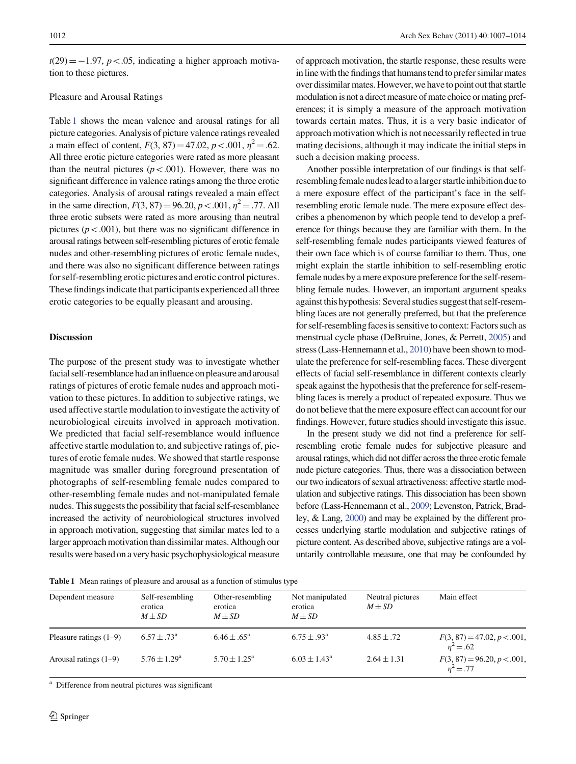$t(29) = -1.97$ ,  $p < .05$ , indicating a higher approach motivation to these pictures.

## Pleasure and Arousal Ratings

Table 1 shows the mean valence and arousal ratings for all picture categories. Analysis of picture valence ratings revealed a main effect of content,  $F(3, 87) = 47.02$ ,  $p < .001$ ,  $\eta^2 = .62$ . All three erotic picture categories were rated as more pleasant than the neutral pictures ( $p < .001$ ). However, there was no significant difference in valence ratings among the three erotic categories. Analysis of arousal ratings revealed a main effect in the same direction,  $F(3, 87) = 96.20, p < .001, \eta^2 = .77$ . All three erotic subsets were rated as more arousing than neutral pictures ( $p < .001$ ), but there was no significant difference in arousal ratings between self-resembling pictures of erotic female nudes and other-resembling pictures of erotic female nudes, and there was also no significant difference between ratings for self-resembling erotic pictures and erotic control pictures. These findings indicate that participants experienced all three erotic categories to be equally pleasant and arousing.

# Discussion

The purpose of the present study was to investigate whether facial self-resemblance had an influence on pleasure and arousal ratings of pictures of erotic female nudes and approach motivation to these pictures. In addition to subjective ratings, we used affective startle modulation to investigate the activity of neurobiological circuits involved in approach motivation. We predicted that facial self-resemblance would influence affective startle modulation to, and subjective ratings of, pictures of erotic female nudes. We showed that startle response magnitude was smaller during foreground presentation of photographs of self-resembling female nudes compared to other-resembling female nudes and not-manipulated female nudes. This suggests the possibility that facial self-resemblance increased the activity of neurobiological structures involved in approach motivation, suggesting that similar mates led to a larger approach motivation than dissimilar mates. Although our results were based on a very basic psychophysiological measure of approach motivation, the startle response, these results were in line with the findings that humans tend to prefer similar mates over dissimilar mates. However, we have to point out that startle modulation is not a direct measure of mate choice or mating preferences; it is simply a measure of the approach motivation towards certain mates. Thus, it is a very basic indicator of approach motivation which is not necessarily reflected in true mating decisions, although it may indicate the initial steps in such a decision making process.

Another possible interpretation of our findings is that selfresembling female nudes lead to a larger startle inhibition due to a mere exposure effect of the participant's face in the selfresembling erotic female nude. The mere exposure effect describes a phenomenon by which people tend to develop a preference for things because they are familiar with them. In the self-resembling female nudes participants viewed features of their own face which is of course familiar to them. Thus, one might explain the startle inhibition to self-resembling erotic female nudes by a mere exposure preference for the self-resembling female nudes. However, an important argument speaks against this hypothesis: Several studies suggestthat self-resembling faces are not generally preferred, but that the preference for self-resembling faces is sensitive to context: Factors such as menstrual cycle phase (DeBruine, Jones, & Perrett, [2005\)](#page-7-0) and stress (Lass-Hennemann et al., [2010\)](#page-7-0) have been shown to modulate the preference for self-resembling faces. These divergent effects of facial self-resemblance in different contexts clearly speak against the hypothesis that the preference for self-resembling faces is merely a product of repeated exposure. Thus we do not believe that the mere exposure effect can account for our findings. However, future studies should investigate this issue.

In the present study we did not find a preference for selfresembling erotic female nudes for subjective pleasure and arousal ratings, which did not differ across the three erotic female nude picture categories. Thus, there was a dissociation between our two indicators of sexual attractiveness: affective startle modulation and subjective ratings. This dissociation has been shown before (Lass-Hennemann et al., [2009;](#page-7-0) Levenston, Patrick, Bradley, & Lang, [2000\)](#page-7-0) and may be explained by the different processes underlying startle modulation and subjective ratings of picture content. As described above, subjective ratings are a voluntarily controllable measure, one that may be confounded by

Table 1 Mean ratings of pleasure and arousal as a function of stimulus type

| Dependent measure        | Self-resembling<br>erotica<br>$M \pm SD$ | Other-resembling<br>erotica<br>$M \pm SD$ | Not manipulated<br>erotica<br>$M \pm SD$ | Neutral pictures<br>$M \pm SD$ | Main effect                                     |
|--------------------------|------------------------------------------|-------------------------------------------|------------------------------------------|--------------------------------|-------------------------------------------------|
| Pleasure ratings $(1-9)$ | $6.57 \pm .73^{\rm a}$                   | $6.46 \pm .65^{\rm a}$                    | $6.75 \pm .93^{\rm a}$                   | $4.85 \pm .72$                 | $F(3, 87) = 47.02, p < .001,$<br>$\eta^2 = .62$ |
| Arousal ratings $(1-9)$  | $5.76 \pm 1.29^{\rm a}$                  | $5.70 \pm 1.25^{\rm a}$                   | $6.03 \pm 1.43^{\circ}$                  | $2.64 \pm 1.31$                | $F(3, 87) = 96.20, p < .001,$<br>$n^2 = .77$    |

<sup>a</sup> Difference from neutral pictures was significant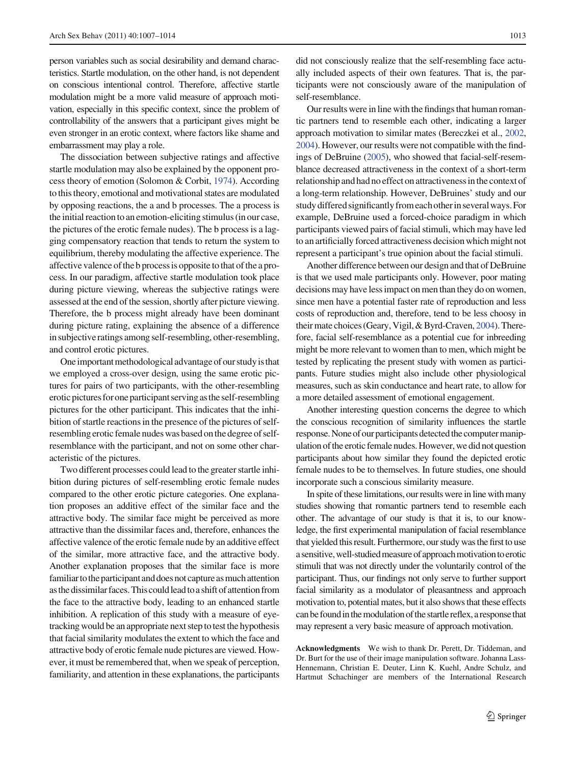person variables such as social desirability and demand characteristics. Startle modulation, on the other hand, is not dependent on conscious intentional control. Therefore, affective startle modulation might be a more valid measure of approach motivation, especially in this specific context, since the problem of controllability of the answers that a participant gives might be even stronger in an erotic context, where factors like shame and embarrassment may play a role.

The dissociation between subjective ratings and affective startle modulation may also be explained by the opponent process theory of emotion (Solomon & Corbit, [1974](#page-7-0)). According to this theory, emotional and motivational states are modulated by opposing reactions, the a and b processes. The a process is the initial reaction to an emotion-eliciting stimulus (in our case, the pictures of the erotic female nudes). The b process is a lagging compensatory reaction that tends to return the system to equilibrium, thereby modulating the affective experience. The affective valence of the b process is opposite to that of the a process. In our paradigm, affective startle modulation took place during picture viewing, whereas the subjective ratings were assessed at the end of the session, shortly after picture viewing. Therefore, the b process might already have been dominant during picture rating, explaining the absence of a difference in subjective ratings among self-resembling, other-resembling, and control erotic pictures.

One important methodological advantage of our study is that we employed a cross-over design, using the same erotic pictures for pairs of two participants, with the other-resembling erotic pictures for one participant serving as the self-resembling pictures for the other participant. This indicates that the inhibition of startle reactions in the presence of the pictures of selfresembling erotic female nudes was based onthedegree of selfresemblance with the participant, and not on some other characteristic of the pictures.

Two different processes could lead to the greater startle inhibition during pictures of self-resembling erotic female nudes compared to the other erotic picture categories. One explanation proposes an additive effect of the similar face and the attractive body. The similar face might be perceived as more attractive than the dissimilar faces and, therefore, enhances the affective valence of the erotic female nude by an additive effect of the similar, more attractive face, and the attractive body. Another explanation proposes that the similar face is more familiar to the participant and does not capture as much attention as the dissimilar faces. This could lead to a shift of attention from the face to the attractive body, leading to an enhanced startle inhibition. A replication of this study with a measure of eyetracking would be an appropriate next step to test the hypothesis that facial similarity modulates the extent to which the face and attractive body of erotic female nude pictures are viewed. However, it must be remembered that, when we speak of perception, familiarity, and attention in these explanations, the participants did not consciously realize that the self-resembling face actually included aspects of their own features. That is, the participants were not consciously aware of the manipulation of self-resemblance.

Our results were in line with the findings that human romantic partners tend to resemble each other, indicating a larger approach motivation to similar mates (Bereczkei et al., [2002,](#page-7-0) [2004\)](#page-7-0). However, our results were not compatible with the findings of DeBruine [\(2005\)](#page-7-0), who showed that facial-self-resemblance decreased attractiveness in the context of a short-term relationship andhadno effect on attractiveness in the context of a long-term relationship. However, DeBruines' study and our study differed significantly from each other in several ways. For example, DeBruine used a forced-choice paradigm in which participants viewed pairs of facial stimuli, which may have led to an artificially forced attractiveness decision which might not represent a participant's true opinion about the facial stimuli.

Another difference between our design and that of DeBruine is that we used male participants only. However, poor mating decisions may have less impact on men than they do on women, since men have a potential faster rate of reproduction and less costs of reproduction and, therefore, tend to be less choosy in their mate choices (Geary, Vigil, & Byrd-Craven, [2004\)](#page-7-0). Therefore, facial self-resemblance as a potential cue for inbreeding might be more relevant to women than to men, which might be tested by replicating the present study with women as participants. Future studies might also include other physiological measures, such as skin conductance and heart rate, to allow for a more detailed assessment of emotional engagement.

Another interesting question concerns the degree to which the conscious recognition of similarity influences the startle response. None of our participants detected the computer manipulation of the erotic female nudes. However, we did not question participants about how similar they found the depicted erotic female nudes to be to themselves. In future studies, one should incorporate such a conscious similarity measure.

In spite of these limitations, our results were in line with many studies showing that romantic partners tend to resemble each other. The advantage of our study is that it is, to our knowledge, the first experimental manipulation of facial resemblance that yielded this result. Furthermore, our study was the first to use a sensitive, well-studied measure of approach motivation to erotic stimuli that was not directly under the voluntarily control of the participant. Thus, our findings not only serve to further support facial similarity as a modulator of pleasantness and approach motivation to, potential mates, but it also shows that these effects can be found in the modulation of the startle reflex, a response that may represent a very basic measure of approach motivation.

Acknowledgments We wish to thank Dr. Perett, Dr. Tiddeman, and Dr. Burt for the use of their image manipulation software. Johanna Lass-Hennemann, Christian E. Deuter, Linn K. Kuehl, Andre Schulz, and Hartmut Schachinger are members of the International Research